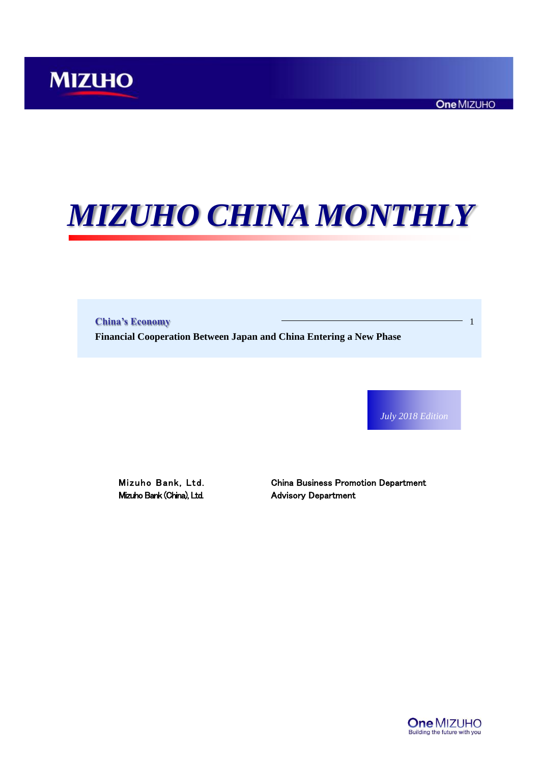# *MIZUHO CHINA MONTHLY*

**China's Economy** 1 **Financial Cooperation Between Japan and China Entering a New Phase**

*July 2018 Edition*

Mizuho Bank (China), Ltd. Advisory Department

Mizuho Bank, Ltd. China Business Promotion Department

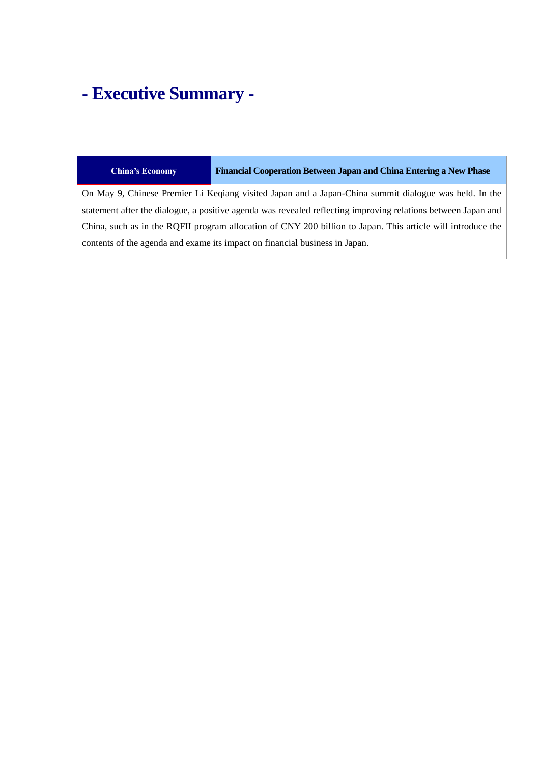## **- Executive Summary -**

#### **China's Economy Financial Cooperation Between Japan and China Entering a New Phase**

On May 9, Chinese Premier Li Keqiang visited Japan and a Japan-China summit dialogue was held. In the statement after the dialogue, a positive agenda was revealed reflecting improving relations between Japan and China, such as in the RQFII program allocation of CNY 200 billion to Japan. This article will introduce the contents of the agenda and exame its impact on financial business in Japan.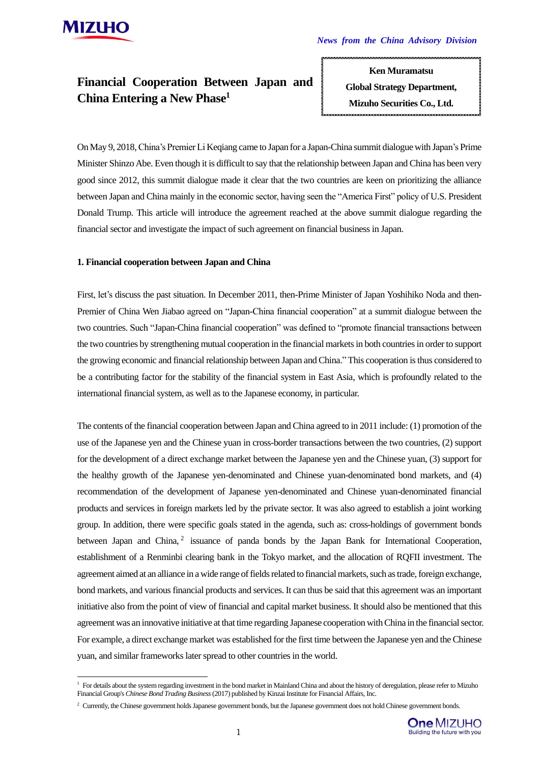

-

### **Financial Cooperation Between Japan and China Entering a New Phase<sup>1</sup>**

**Ken Muramatsu Global Strategy Department, Mizuho Securities Co., Ltd.**

**ken.muramatsu@mizuho-sc.com**

On May 9, 2018, China's Premier Li Keqiang came to Japan for a Japan-China summit dialogue with Japan's Prime Minister Shinzo Abe. Even though it is difficult to say that the relationship between Japan and China has been very good since 2012, this summit dialogue made it clear that the two countries are keen on prioritizing the alliance between Japan and China mainly in the economic sector, having seen the "America First" policy of U.S. President Donald Trump. This article will introduce the agreement reached at the above summit dialogue regarding the financial sector and investigate the impact of such agreement on financial business in Japan.

#### **1. Financial cooperation between Japan and China**

First, let's discuss the past situation. In December 2011, then-Prime Minister of Japan Yoshihiko Noda and then-Premier of China Wen Jiabao agreed on "Japan-China financial cooperation" at a summit dialogue between the two countries. Such "Japan-China financial cooperation" was defined to "promote financial transactions between the two countries by strengthening mutual cooperation in the financial markets in both countries in order to support the growing economic and financial relationship between Japan and China." This cooperation is thus considered to be a contributing factor for the stability of the financial system in East Asia, which is profoundly related to the international financial system, as well as to the Japanese economy, in particular.

The contents of the financial cooperation between Japan and China agreed to in 2011 include: (1) promotion of the use of the Japanese yen and the Chinese yuan in cross-border transactions between the two countries, (2) support for the development of a direct exchange market between the Japanese yen and the Chinese yuan, (3) support for the healthy growth of the Japanese yen-denominated and Chinese yuan-denominated bond markets, and (4) recommendation of the development of Japanese yen-denominated and Chinese yuan-denominated financial products and services in foreign markets led by the private sector. It was also agreed to establish a joint working group. In addition, there were specific goals stated in the agenda, such as: cross-holdings of government bonds between Japan and China,<sup>2</sup> issuance of panda bonds by the Japan Bank for International Cooperation, establishment of a Renminbi clearing bank in the Tokyo market, and the allocation of RQFII investment. The agreement aimed at an alliance in a wide range of fields related to financial markets, such as trade, foreign exchange, bond markets, and various financial products and services. It can thus be said that this agreement was an important initiative also from the point of view of financial and capital market business. It should also be mentioned that this agreement was an innovative initiative at that time regarding Japanese cooperation with China in the financial sector. For example, a direct exchange market was established for the first time between the Japanese yen and the Chinese yuan, and similar frameworks later spread to other countries in the world.

<sup>&</sup>lt;sup>2</sup> Currently, the Chinese government holds Japanese government bonds, but the Japanese government does not hold Chinese government bonds.



<sup>&</sup>lt;sup>1</sup> For details about the system regarding investment in the bond market in Mainland China and about the history of deregulation, please refer to Mizuho Financial Group's *Chinese Bond Trading Business*(2017) published by Kinzai Institute for Financial Affairs, Inc.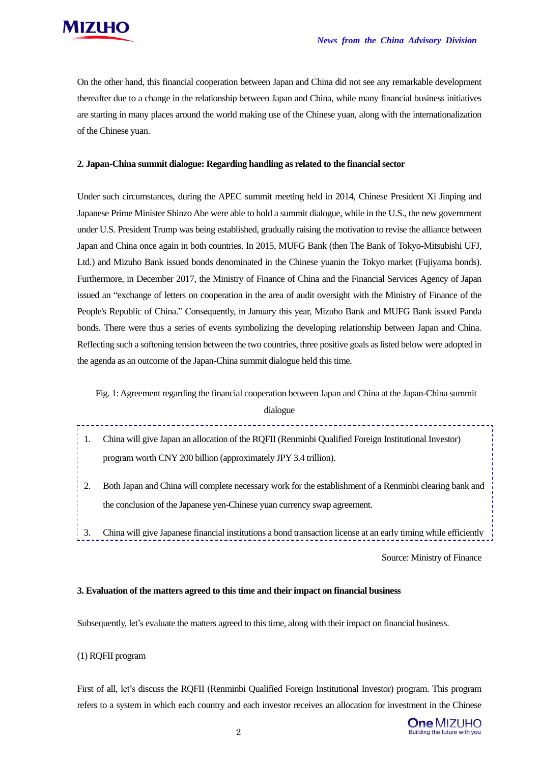

On the other hand, this financial cooperation between Japan and China did not see any remarkable development thereafter due to a change in the relationship between Japan and China, while many financial business initiatives are starting in many places around the world making use of the Chinese yuan, along with the internationalization of the Chinese yuan.

#### **2. Japan-China summit dialogue: Regarding handling as related to the financial sector**

Under such circumstances, during the APEC summit meeting held in 2014, Chinese President Xi Jinping and Japanese Prime Minister Shinzo Abe were able to hold a summit dialogue, while in the U.S., the new government under U.S. President Trump was being established, gradually raising the motivation to revise the alliance between Japan and China once again in both countries. In 2015, MUFG Bank (then The Bank of Tokyo-Mitsubishi UFJ, Ltd.) and Mizuho Bank issued bonds denominated in the Chinese yuanin the Tokyo market (Fujiyama bonds). Furthermore, in December 2017, the Ministry of Finance of China and the Financial Services Agency of Japan issued an "exchange of letters on cooperation in the area of audit oversight with the Ministry of Finance of the People's Republic of China." Consequently, in January this year, Mizuho Bank and MUFG Bank issued Panda bonds. There were thus a series of events symbolizing the developing relationship between Japan and China. Reflecting such a softening tension between the two countries, three positive goals as listed below were adopted in the agenda as an outcome of the Japan-China summit dialogue held this time.

Fig. 1:Agreement regarding the financial cooperation between Japan and China at the Japan-China summit

dialogue

- 1. China will give Japan an allocation of the RQFII (Renminbi Qualified Foreign Institutional Investor) program worth CNY 200 billion (approximately JPY 3.4 trillion).
- 2. Both Japan and China will complete necessary work for the establishment of a Renminbi clearing bank and the conclusion of the Japanese yen-Chinese yuan currency swap agreement.
- 3. China will give Japanese financial institutions a bond transaction license at an early timing while efficiently

Source: Ministry of Finance

#### **3. Evaluation of the matters agreed to this time and their impact on financial business**

Subsequently, let's evaluate the matters agreed to this time, along with their impact on financial business.

#### (1) RQFII program

First of all, let's discuss the RQFII (Renminbi Qualified Foreign Institutional Investor) program. This program refers to a system in which each country and each investor receives an allocation for investment in the Chinese

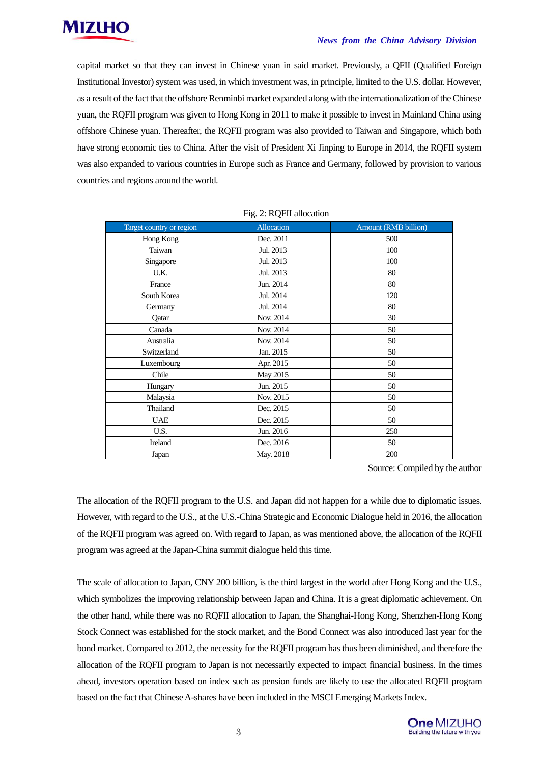

#### *News from the China Advisory Division*

capital market so that they can invest in Chinese yuan in said market. Previously, a QFII (Qualified Foreign Institutional Investor) system was used, in which investment was, in principle, limited to the U.S. dollar. However, as a result of the fact that the offshore Renminbi market expanded along with the internationalization of the Chinese yuan, the RQFII program was given to Hong Kong in 2011 to make it possible to invest in Mainland China using offshore Chinese yuan. Thereafter, the RQFII program was also provided to Taiwan and Singapore, which both have strong economic ties to China. After the visit of President Xi Jinping to Europe in 2014, the RQFII system was also expanded to various countries in Europe such as France and Germany, followed by provision to various countries and regions around the world.

| Target country or region | Allocation | Amount (RMB billion) |
|--------------------------|------------|----------------------|
| Hong Kong                | Dec. 2011  | 500                  |
| Taiwan                   | Jul. 2013  | 100                  |
| Singapore                | Jul. 2013  | 100                  |
| U.K.                     | Jul. 2013  | 80                   |
| France                   | Jun. 2014  | 80                   |
| South Korea              | Jul. 2014  | 120                  |
| Germany                  | Jul. 2014  | 80                   |
| Qatar                    | Nov. 2014  | 30                   |
| Canada                   | Nov. 2014  | 50                   |
| Australia                | Nov. 2014  | 50                   |
| Switzerland              | Jan. 2015  | 50                   |
| Luxembourg               | Apr. 2015  | 50                   |
| Chile                    | May 2015   | 50                   |
| Hungary                  | Jun. 2015  | 50                   |
| Malaysia                 | Nov. 2015  | 50                   |
| Thailand                 | Dec. 2015  | 50                   |
| <b>UAE</b>               | Dec. 2015  | 50                   |
| U.S.                     | Jun. 2016  | 250                  |
| Ireland                  | Dec. 2016  | 50                   |
| <b>Japan</b>             | May. 2018  | 200                  |

Source: Compiled by the author

The allocation of the RQFII program to the U.S. and Japan did not happen for a while due to diplomatic issues. However, with regard to the U.S., at the U.S.-China Strategic and Economic Dialogue held in 2016, the allocation of the RQFII program was agreed on. With regard to Japan, as was mentioned above, the allocation of the RQFII program was agreed at the Japan-China summit dialogue held this time.

The scale of allocation to Japan, CNY 200 billion, is the third largest in the world after Hong Kong and the U.S., which symbolizes the improving relationship between Japan and China. It is a great diplomatic achievement. On the other hand, while there was no RQFII allocation to Japan, the Shanghai-Hong Kong, Shenzhen-Hong Kong Stock Connect was established for the stock market, and the Bond Connect was also introduced last year for the bond market. Compared to 2012, the necessity for the RQFII program has thus been diminished, and therefore the allocation of the RQFII program to Japan is not necessarily expected to impact financial business. In the times ahead, investors operation based on index such as pension funds are likely to use the allocated RQFII program based on the fact that Chinese A-shares have been included in the MSCI Emerging Markets Index.

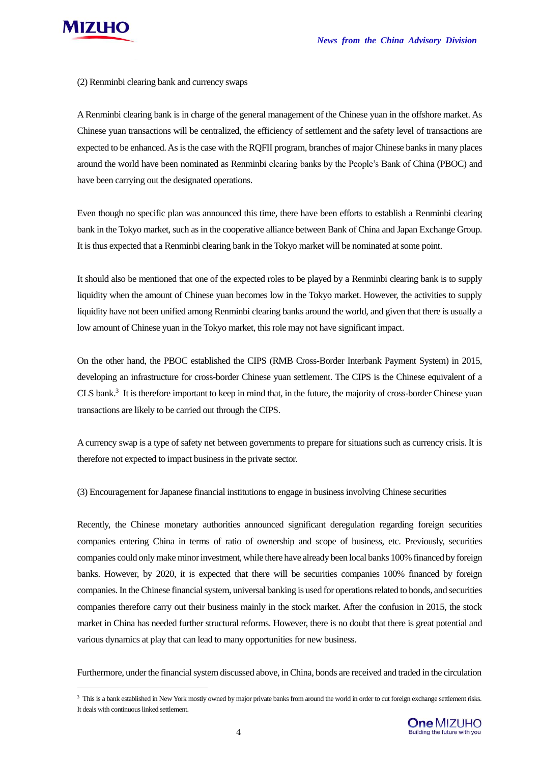

 $\overline{\phantom{a}}$ 

(2) Renminbi clearing bank and currency swaps

A Renminbi clearing bank is in charge of the general management of the Chinese yuan in the offshore market. As Chinese yuan transactions will be centralized, the efficiency of settlement and the safety level of transactions are expected to be enhanced. As is the case with the RQFII program, branches of major Chinese banks in many places around the world have been nominated as Renminbi clearing banks by the People's Bank of China (PBOC) and have been carrying out the designated operations.

Even though no specific plan was announced this time, there have been efforts to establish a Renminbi clearing bank in the Tokyo market, such as in the cooperative alliance between Bank of China and Japan Exchange Group. It is thus expected that a Renminbi clearing bank in the Tokyo market will be nominated at some point.

It should also be mentioned that one of the expected roles to be played by a Renminbi clearing bank is to supply liquidity when the amount of Chinese yuan becomes low in the Tokyo market. However, the activities to supply liquidity have not been unified among Renminbi clearing banks around the world, and given that there is usually a low amount of Chinese yuan in the Tokyo market, this role may not have significant impact.

On the other hand, the PBOC established the CIPS (RMB Cross-Border Interbank Payment System) in 2015, developing an infrastructure for cross-border Chinese yuan settlement. The CIPS is the Chinese equivalent of a CLS bank.<sup>3</sup> It is therefore important to keep in mind that, in the future, the majority of cross-border Chinese yuan transactions are likely to be carried out through the CIPS.

A currency swap is a type of safety net between governments to prepare for situations such as currency crisis. It is therefore not expected to impact business in the private sector.

(3) Encouragement for Japanese financial institutions to engage in business involving Chinese securities

Recently, the Chinese monetary authorities announced significant deregulation regarding foreign securities companies entering China in terms of ratio of ownership and scope of business, etc. Previously, securities companies could only make minor investment, while there have already been local banks 100% financed by foreign banks. However, by 2020, it is expected that there will be securities companies 100% financed by foreign companies. In the Chinese financial system, universal banking is used for operations related to bonds, and securities companies therefore carry out their business mainly in the stock market. After the confusion in 2015, the stock market in China has needed further structural reforms. However, there is no doubt that there is great potential and various dynamics at play that can lead to many opportunities for new business.

Furthermore, under the financial system discussed above, in China, bonds are received and traded in the circulation

<sup>&</sup>lt;sup>3</sup> This is a bank established in New York mostly owned by major private banks from around the world in order to cut foreign exchange settlement risks. It deals with continuous linked settlement.